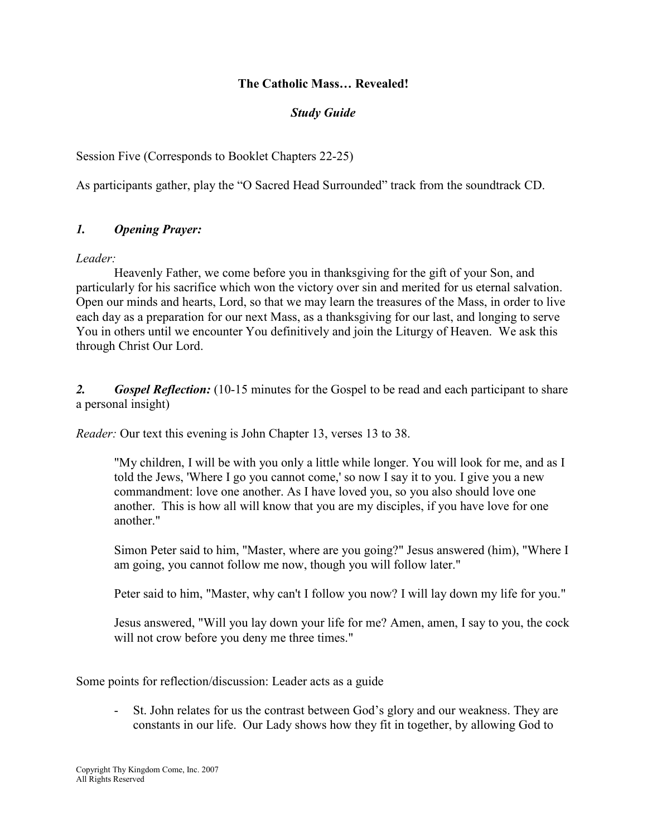### The Catholic Mass… Revealed!

#### Study Guide

Session Five (Corresponds to Booklet Chapters 22-25)

As participants gather, play the "O Sacred Head Surrounded" track from the soundtrack CD.

### 1. Opening Prayer:

Leader:

Heavenly Father, we come before you in thanksgiving for the gift of your Son, and particularly for his sacrifice which won the victory over sin and merited for us eternal salvation. Open our minds and hearts, Lord, so that we may learn the treasures of the Mass, in order to live each day as a preparation for our next Mass, as a thanksgiving for our last, and longing to serve You in others until we encounter You definitively and join the Liturgy of Heaven. We ask this through Christ Our Lord.

2. Gospel Reflection: (10-15 minutes for the Gospel to be read and each participant to share a personal insight)

Reader: Our text this evening is John Chapter 13, verses 13 to 38.

"My children, I will be with you only a little while longer. You will look for me, and as I told the Jews, 'Where I go you cannot come,' so now I say it to you. I give you a new commandment: love one another. As I have loved you, so you also should love one another. This is how all will know that you are my disciples, if you have love for one another."

Simon Peter said to him, "Master, where are you going?" Jesus answered (him), "Where I am going, you cannot follow me now, though you will follow later."

Peter said to him, "Master, why can't I follow you now? I will lay down my life for you."

Jesus answered, "Will you lay down your life for me? Amen, amen, I say to you, the cock will not crow before you deny me three times."

Some points for reflection/discussion: Leader acts as a guide

- St. John relates for us the contrast between God's glory and our weakness. They are constants in our life. Our Lady shows how they fit in together, by allowing God to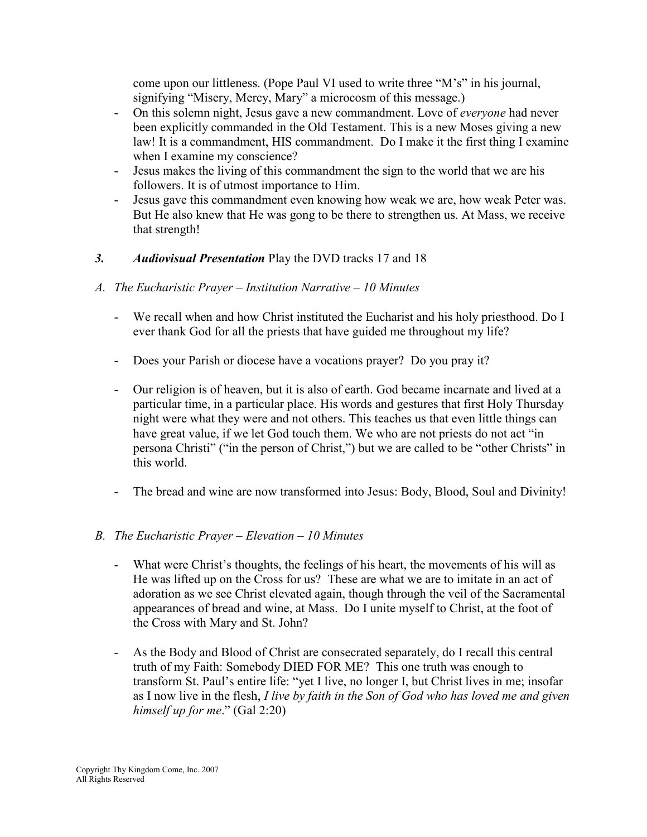come upon our littleness. (Pope Paul VI used to write three "M's" in his journal, signifying "Misery, Mercy, Mary" a microcosm of this message.)

- On this solemn night, Jesus gave a new commandment. Love of *everyone* had never been explicitly commanded in the Old Testament. This is a new Moses giving a new law! It is a commandment, HIS commandment. Do I make it the first thing I examine when I examine my conscience?
- Jesus makes the living of this commandment the sign to the world that we are his followers. It is of utmost importance to Him.
- Jesus gave this commandment even knowing how weak we are, how weak Peter was. But He also knew that He was gong to be there to strengthen us. At Mass, we receive that strength!

## 3. Audiovisual Presentation Play the DVD tracks 17 and 18

### A. The Eucharistic Prayer – Institution Narrative – 10 Minutes

- We recall when and how Christ instituted the Eucharist and his holy priesthood. Do I ever thank God for all the priests that have guided me throughout my life?
- Does your Parish or diocese have a vocations prayer? Do you pray it?
- Our religion is of heaven, but it is also of earth. God became incarnate and lived at a particular time, in a particular place. His words and gestures that first Holy Thursday night were what they were and not others. This teaches us that even little things can have great value, if we let God touch them. We who are not priests do not act "in persona Christi" ("in the person of Christ,") but we are called to be "other Christs" in this world.
- The bread and wine are now transformed into Jesus: Body, Blood, Soul and Divinity!

# B. The Eucharistic Prayer – Elevation – 10 Minutes

- What were Christ's thoughts, the feelings of his heart, the movements of his will as He was lifted up on the Cross for us? These are what we are to imitate in an act of adoration as we see Christ elevated again, though through the veil of the Sacramental appearances of bread and wine, at Mass. Do I unite myself to Christ, at the foot of the Cross with Mary and St. John?
- As the Body and Blood of Christ are consecrated separately, do I recall this central truth of my Faith: Somebody DIED FOR ME? This one truth was enough to transform St. Paul's entire life: "yet I live, no longer I, but Christ lives in me; insofar as I now live in the flesh, I live by faith in the Son of God who has loved me and given himself up for me." (Gal 2:20)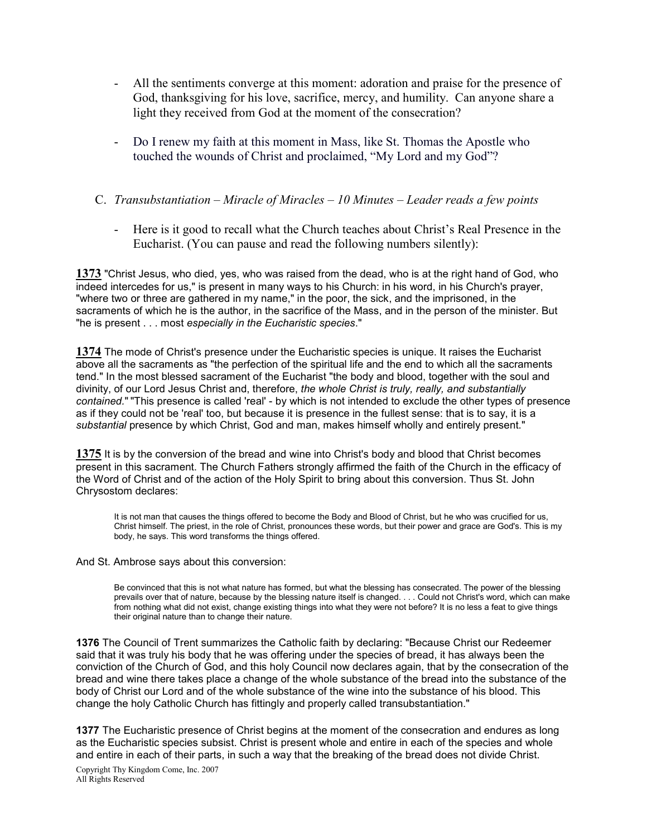- All the sentiments converge at this moment: adoration and praise for the presence of God, thanksgiving for his love, sacrifice, mercy, and humility. Can anyone share a light they received from God at the moment of the consecration?
- Do I renew my faith at this moment in Mass, like St. Thomas the Apostle who touched the wounds of Christ and proclaimed, "My Lord and my God"?

#### C. Transubstantiation – Miracle of Miracles – 10 Minutes – Leader reads a few points

- Here is it good to recall what the Church teaches about Christ's Real Presence in the Eucharist. (You can pause and read the following numbers silently):

1373 "Christ Jesus, who died, yes, who was raised from the dead, who is at the right hand of God, who indeed intercedes for us," is present in many ways to his Church: in his word, in his Church's prayer, "where two or three are gathered in my name," in the poor, the sick, and the imprisoned, in the sacraments of which he is the author, in the sacrifice of the Mass, and in the person of the minister. But "he is present . . . most especially in the Eucharistic species."

1374 The mode of Christ's presence under the Eucharistic species is unique. It raises the Eucharist above all the sacraments as "the perfection of the spiritual life and the end to which all the sacraments tend." In the most blessed sacrament of the Eucharist "the body and blood, together with the soul and divinity, of our Lord Jesus Christ and, therefore, the whole Christ is truly, really, and substantially contained." "This presence is called 'real' - by which is not intended to exclude the other types of presence as if they could not be 'real' too, but because it is presence in the fullest sense: that is to say, it is a substantial presence by which Christ, God and man, makes himself wholly and entirely present."

1375 It is by the conversion of the bread and wine into Christ's body and blood that Christ becomes present in this sacrament. The Church Fathers strongly affirmed the faith of the Church in the efficacy of the Word of Christ and of the action of the Holy Spirit to bring about this conversion. Thus St. John Chrysostom declares:

It is not man that causes the things offered to become the Body and Blood of Christ, but he who was crucified for us, Christ himself. The priest, in the role of Christ, pronounces these words, but their power and grace are God's. This is my body, he says. This word transforms the things offered.

And St. Ambrose says about this conversion:

Be convinced that this is not what nature has formed, but what the blessing has consecrated. The power of the blessing prevails over that of nature, because by the blessing nature itself is changed. . . . Could not Christ's word, which can make from nothing what did not exist, change existing things into what they were not before? It is no less a feat to give things their original nature than to change their nature.

1376 The Council of Trent summarizes the Catholic faith by declaring: "Because Christ our Redeemer said that it was truly his body that he was offering under the species of bread, it has always been the conviction of the Church of God, and this holy Council now declares again, that by the consecration of the bread and wine there takes place a change of the whole substance of the bread into the substance of the body of Christ our Lord and of the whole substance of the wine into the substance of his blood. This change the holy Catholic Church has fittingly and properly called transubstantiation."

1377 The Eucharistic presence of Christ begins at the moment of the consecration and endures as long as the Eucharistic species subsist. Christ is present whole and entire in each of the species and whole and entire in each of their parts, in such a way that the breaking of the bread does not divide Christ.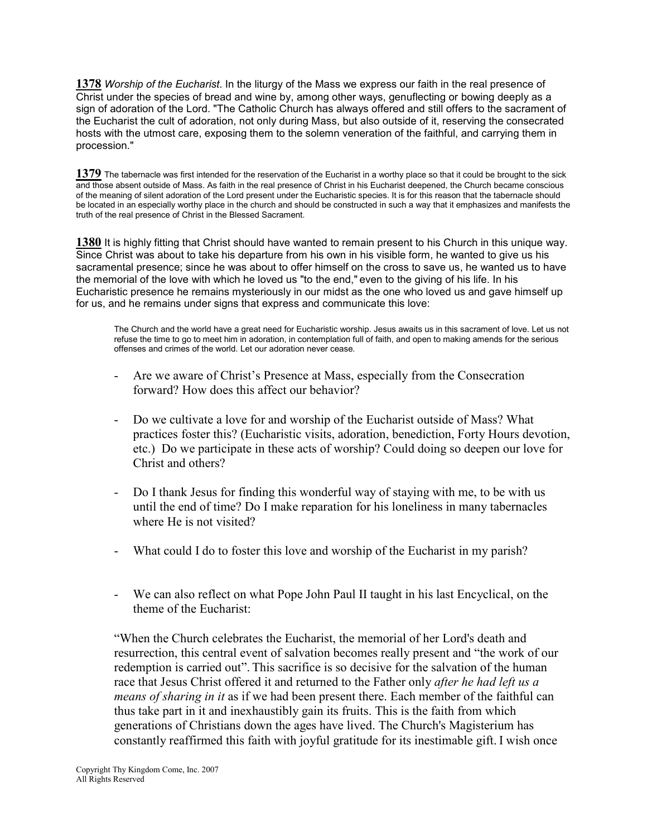1378 Worship of the Eucharist. In the liturgy of the Mass we express our faith in the real presence of Christ under the species of bread and wine by, among other ways, genuflecting or bowing deeply as a sign of adoration of the Lord. "The Catholic Church has always offered and still offers to the sacrament of the Eucharist the cult of adoration, not only during Mass, but also outside of it, reserving the consecrated hosts with the utmost care, exposing them to the solemn veneration of the faithful, and carrying them in procession."

1379 The tabernacle was first intended for the reservation of the Eucharist in a worthy place so that it could be brought to the sick and those absent outside of Mass. As faith in the real presence of Christ in his Eucharist deepened, the Church became conscious of the meaning of silent adoration of the Lord present under the Eucharistic species. It is for this reason that the tabernacle should be located in an especially worthy place in the church and should be constructed in such a way that it emphasizes and manifests the truth of the real presence of Christ in the Blessed Sacrament.

1380 It is highly fitting that Christ should have wanted to remain present to his Church in this unique way. Since Christ was about to take his departure from his own in his visible form, he wanted to give us his sacramental presence; since he was about to offer himself on the cross to save us, he wanted us to have the memorial of the love with which he loved us "to the end," even to the giving of his life. In his Eucharistic presence he remains mysteriously in our midst as the one who loved us and gave himself up for us, and he remains under signs that express and communicate this love:

The Church and the world have a great need for Eucharistic worship. Jesus awaits us in this sacrament of love. Let us not refuse the time to go to meet him in adoration, in contemplation full of faith, and open to making amends for the serious offenses and crimes of the world. Let our adoration never cease.

- Are we aware of Christ's Presence at Mass, especially from the Consecration forward? How does this affect our behavior?
- Do we cultivate a love for and worship of the Eucharist outside of Mass? What practices foster this? (Eucharistic visits, adoration, benediction, Forty Hours devotion, etc.) Do we participate in these acts of worship? Could doing so deepen our love for Christ and others?
- Do I thank Jesus for finding this wonderful way of staying with me, to be with us until the end of time? Do I make reparation for his loneliness in many tabernacles where He is not visited?
- What could I do to foster this love and worship of the Eucharist in my parish?
- We can also reflect on what Pope John Paul II taught in his last Encyclical, on the theme of the Eucharist:

"When the Church celebrates the Eucharist, the memorial of her Lord's death and resurrection, this central event of salvation becomes really present and "the work of our redemption is carried out". This sacrifice is so decisive for the salvation of the human race that Jesus Christ offered it and returned to the Father only after he had left us a means of sharing in it as if we had been present there. Each member of the faithful can thus take part in it and inexhaustibly gain its fruits. This is the faith from which generations of Christians down the ages have lived. The Church's Magisterium has constantly reaffirmed this faith with joyful gratitude for its inestimable gift. I wish once